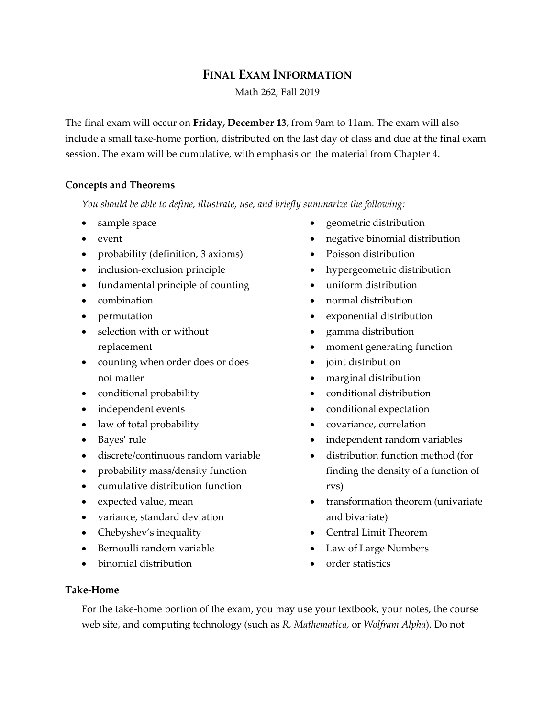# **FINAL EXAM INFORMATION** Math 262, Fall 2019

The final exam will occur on **Friday, December 13**, from 9am to 11am. The exam will also include a small take-home portion, distributed on the last day of class and due at the final exam session. The exam will be cumulative, with emphasis on the material from Chapter 4.

## **Concepts and Theorems**

*You should be able to define, illustrate, use, and briefly summarize the following:*

- sample space
- event
- probability (definition, 3 axioms)
- inclusion-exclusion principle
- fundamental principle of counting
- combination
- permutation
- selection with or without replacement
- counting when order does or does not matter
- conditional probability
- independent events
- law of total probability
- Bayes' rule
- discrete/continuous random variable
- probability mass/density function
- cumulative distribution function
- expected value, mean
- variance, standard deviation
- Chebyshev's inequality
- Bernoulli random variable
- binomial distribution
- geometric distribution
- negative binomial distribution
- Poisson distribution
- hypergeometric distribution
- uniform distribution
- normal distribution
- exponential distribution
- gamma distribution
- moment generating function
- joint distribution
- marginal distribution
- conditional distribution
- conditional expectation
- covariance, correlation
- independent random variables
- distribution function method (for finding the density of a function of rvs)
- transformation theorem (univariate and bivariate)
- Central Limit Theorem
- Law of Large Numbers
- order statistics

## **Take-Home**

For the take-home portion of the exam, you may use your textbook, your notes, the course web site, and computing technology (such as *R*, *Mathematica*, or *Wolfram Alpha*). Do not